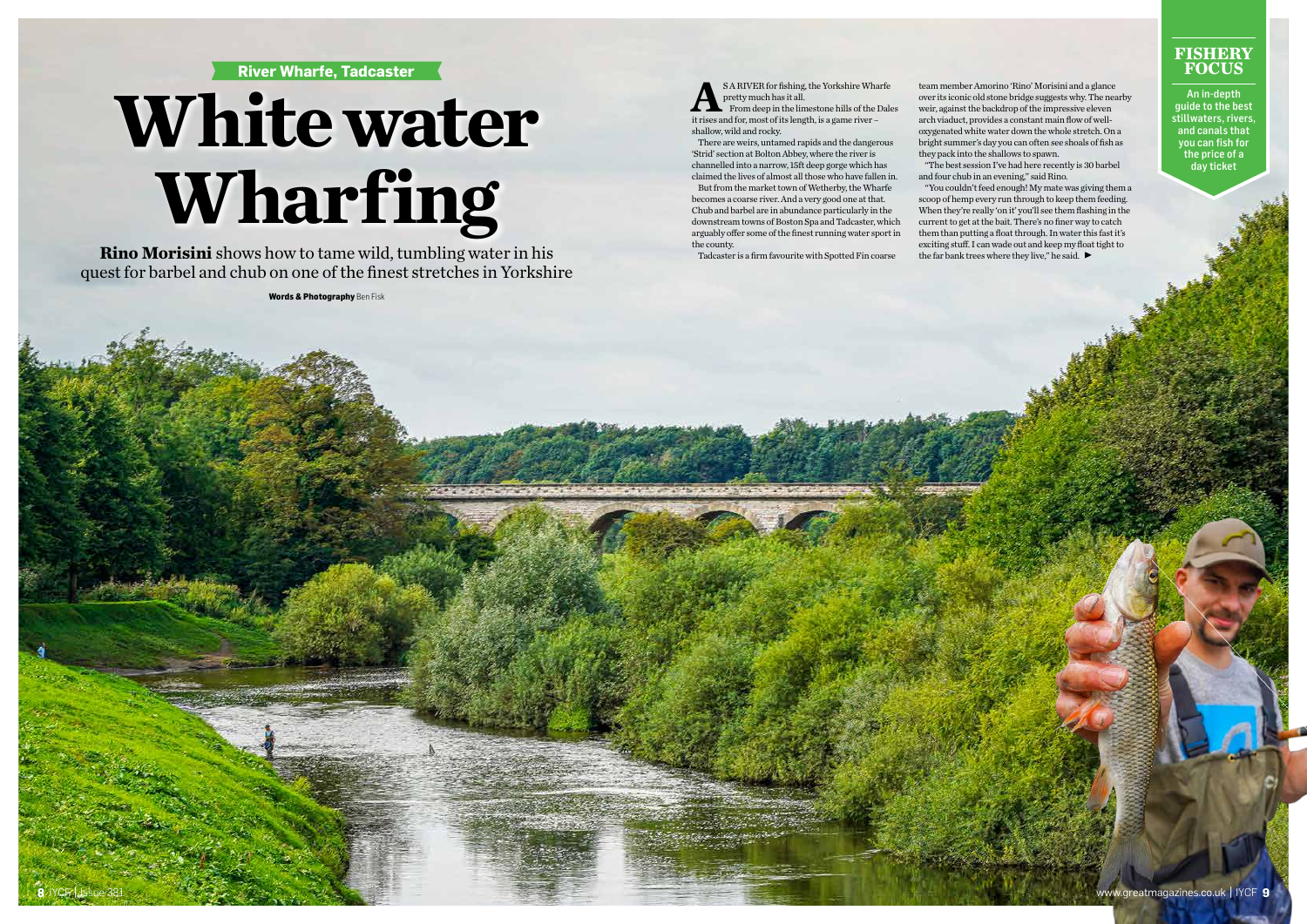## **River Wharfe, Tadcaster**

# **White water Wharfing**

**Rino Morisini** shows how to tame wild, tumbling water in his quest for barbel and chub on one of the finest stretches in Yorkshire

**Words & Photography** Ben Fisk



**ARIVER for fishing, the Yorkshire Wharfe**<br>
From deep in the limestone hills of the Dales<br>
it rises and for most of its length is a game river – pretty much has it all.

### **FISHERY FOCUS**

An in-depth guide to the best stillwaters, rivers, and canals that you can fish for the price of a day ticket

it rises and for, most of its length, is a game river – shallow, wild and rocky.

There are weirs, untamed rapids and the dangerous 'Strid' section at Bolton Abbey, where the river is channelled into a narrow, 15ft deep gorge which has claimed the lives of almost all those who have fallen in.

"You couldn't feed enough! My mate was giving them a scoop of hemp every run through to keep them feeding. When they're really 'on it' you'll see them flashing in the current to get at the bait. There's no finer way to catch them than putting a float through. In water this fast it's exciting stuff. I can wade out and keep my float tight to the far bank trees where they live," he said.  $\blacktriangleright$ 

But from the market town of Wetherby, the Wharfe becomes a coarse river. And a very good one at that. Chub and barbel are in abundance particularly in the downstream towns of Boston Spa and Tadcaster, which arguably offer some of the finest running water sport in the county.

Tadcaster is a firm favourite with Spotted Fin coarse

team member Amorino 'Rino' Morisini and a glance over its iconic old stone bridge suggests why. The nearby weir, against the backdrop of the impressive eleven arch viaduct, provides a constant main flow of welloxygenated white water down the whole stretch. On a bright summer's day you can often see shoals of fish as they pack into the shallows to spawn. "The best session I've had here recently is 30 barbel and four chub in an evening," said Rino.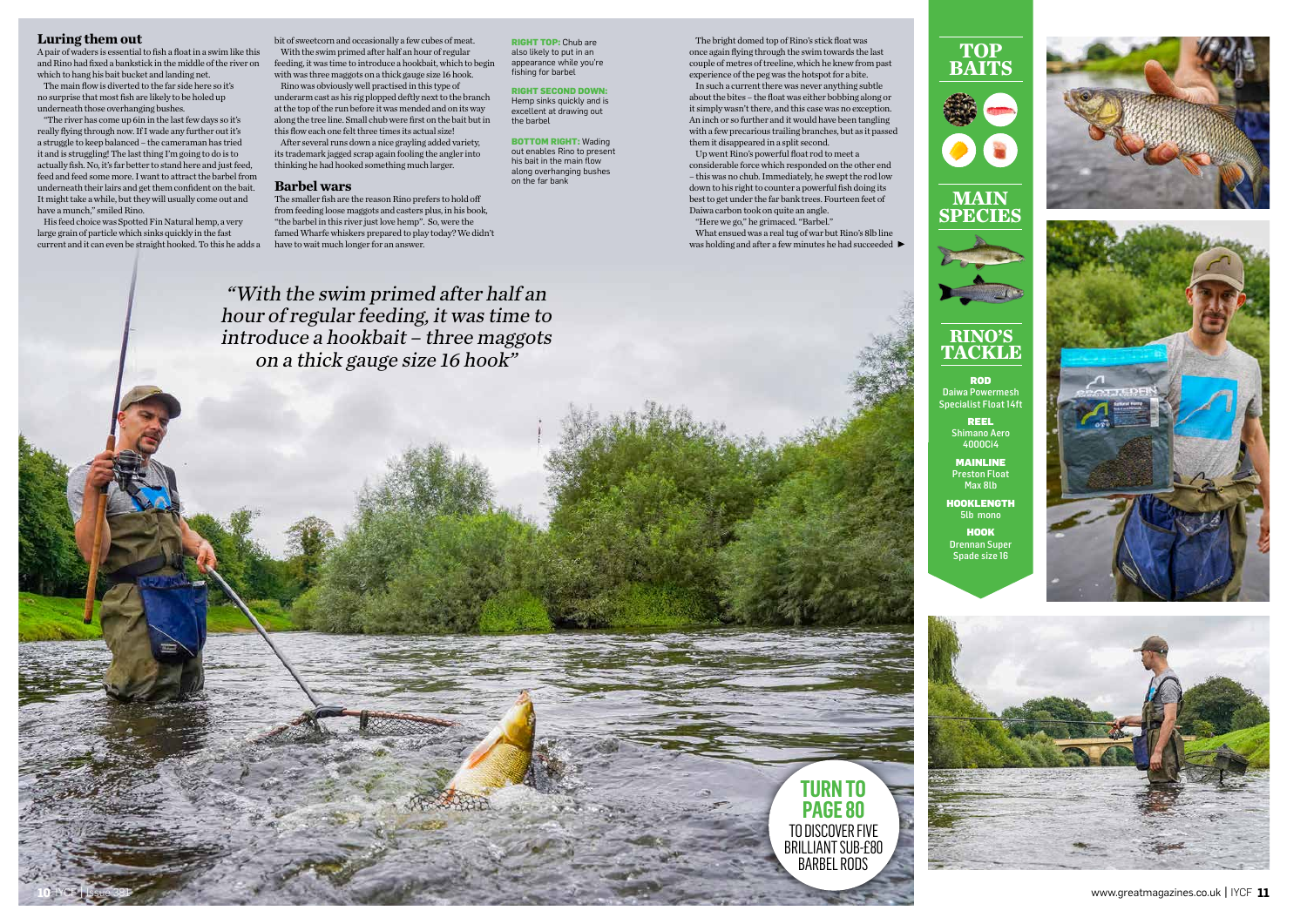#### **Luring them out**

A pair of waders is essential to fish a float in a swim like this and Rino had fixed a bankstick in the middle of the river on which to hang his bait bucket and landing net.

The main flow is diverted to the far side here so it's no surprise that most fish are likely to be holed up underneath those overhanging bushes.

"The river has come up 6in in the last few days so it's really flying through now. If I wade any further out it's a struggle to keep balanced – the cameraman has tried it and is struggling! The last thing I'm going to do is to actually fish. No, it's far better to stand here and just feed, feed and feed some more. I want to attract the barbel from underneath their lairs and get them confident on the bait. It might take a while, but they will usually come out and have a munch," smiled Rino.

His feed choice was Spotted Fin Natural hemp, a very large grain of particle which sinks quickly in the fast current and it can even be straight hooked. To this he adds a

bit of sweetcorn and occasionally a few cubes of meat. With the swim primed after half an hour of regular feeding, it was time to introduce a hookbait, which to begin with was three maggots on a thick gauge size 16 hook.

Rino was obviously well practised in this type of underarm cast as his rig plopped deftly next to the branch at the top of the run before it was mended and on its way along the tree line. Small chub were first on the bait but in this flow each one felt three times its actual size!

After several runs down a nice grayling added variety, its trademark jagged scrap again fooling the angler into thinking he had hooked something much larger.

> 5lb mono **HOOK**

#### **Barbel wars**

The smaller fish are the reason Rino prefers to hold off from feeding loose maggots and casters plus, in his book, "the barbel in this river just love hemp". So, were the famed Wharfe whiskers prepared to play today? We didn't have to wait much longer for an answer.

The bright domed top of Rino's stick float was once again flying through the swim towards the last couple of metres of treeline, which he knew from past experience of the peg was the hotspot for a bite.

In such a current there was never anything subtle about the bites – the float was either bobbing along or it simply wasn't there, and this case was no exception. An inch or so further and it would have been tangling with a few precarious trailing branches, but as it passed them it disappeared in a split second.

Up went Rino's powerful float rod to meet a considerable force which responded on the other end – this was no chub. Immediately, he swept the rod low down to his right to counter a powerful fish doing its best to get under the far bank trees. Fourteen feet of Daiwa carbon took on quite an angle.

"Here we go," he grimaced. "Barbel." What ensued was a real tug of war but Rino's 8lb line was holding and after a few minutes he had succeeded



**RIGHT TOP:** Chub are also likely to put in an appearance while you're fishing for barbel

**BOTTOM RIGHT:** Wading out enables Rino to present his bait in the main flow along overhanging bushes on the far bank

#### **RIGHT SECOND DOWN:**

Hemp sinks quickly and is excellent at drawing out the barbel





ROD Daiwa Powermesh Specialist Float 14ft

REEL

Shimano Aero 4000Ci4

MAINLINE

**HOOKLENGTH** 

Preston Float Max 8lb

Drennan Super Spade size 16







## **RINO'S TACKLE**

"With the swim primed after half an hour of regular feeding, it was time to

introduce a hookbait – three maggots on a thick gauge size 16 hook"

> **TURN TO PAGE 80**

TO DISCOVER FIVE BRILLIANT SUB-£80 BARBEL RODS